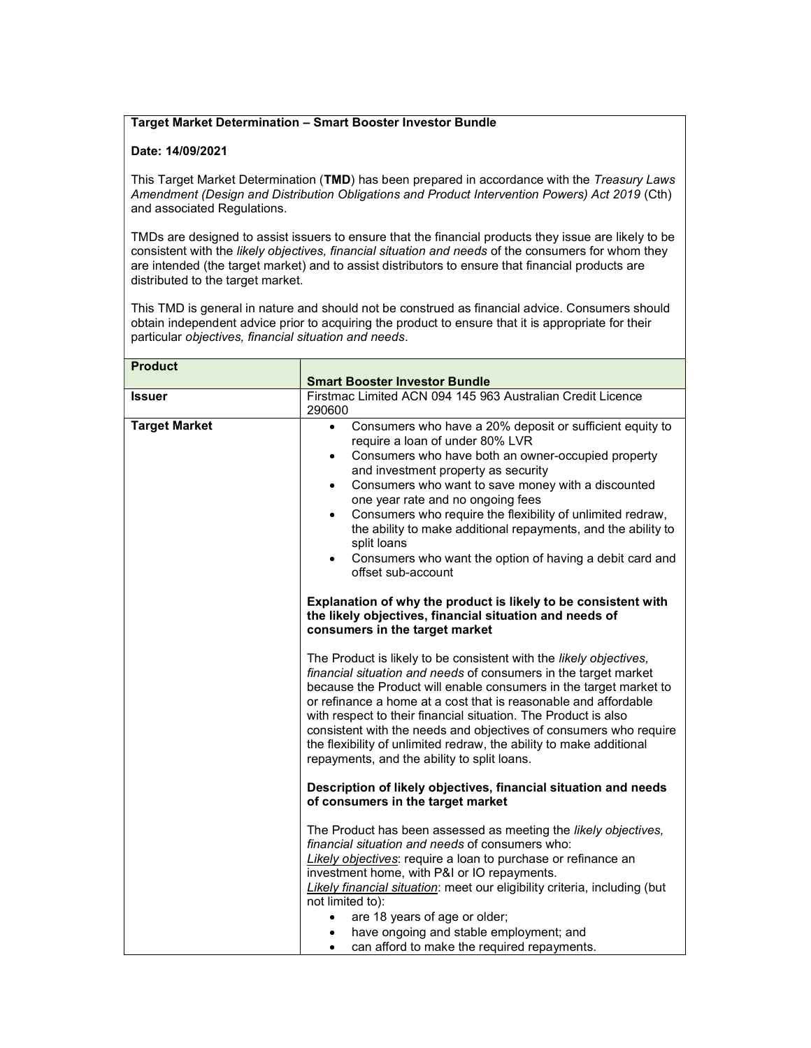## Target Market Determination – Smart Booster Investor Bundle

## Date: 14/09/2021

This Target Market Determination (TMD) has been prepared in accordance with the Treasury Laws Amendment (Design and Distribution Obligations and Product Intervention Powers) Act 2019 (Cth) and associated Regulations.

TMDs are designed to assist issuers to ensure that the financial products they issue are likely to be consistent with the likely objectives, financial situation and needs of the consumers for whom they are intended (the target market) and to assist distributors to ensure that financial products are distributed to the target market.

This TMD is general in nature and should not be construed as financial advice. Consumers should obtain independent advice prior to acquiring the product to ensure that it is appropriate for their particular objectives, financial situation and needs.

| <b>Product</b>       |                                                                                                                                                                                                                                                                                                                                                                                                                                                                                                                                            |
|----------------------|--------------------------------------------------------------------------------------------------------------------------------------------------------------------------------------------------------------------------------------------------------------------------------------------------------------------------------------------------------------------------------------------------------------------------------------------------------------------------------------------------------------------------------------------|
|                      | <b>Smart Booster Investor Bundle</b>                                                                                                                                                                                                                                                                                                                                                                                                                                                                                                       |
| <b>Issuer</b>        | Firstmac Limited ACN 094 145 963 Australian Credit Licence                                                                                                                                                                                                                                                                                                                                                                                                                                                                                 |
|                      | 290600                                                                                                                                                                                                                                                                                                                                                                                                                                                                                                                                     |
| <b>Target Market</b> | Consumers who have a 20% deposit or sufficient equity to<br>$\bullet$<br>require a loan of under 80% LVR                                                                                                                                                                                                                                                                                                                                                                                                                                   |
|                      | Consumers who have both an owner-occupied property<br>$\bullet$<br>and investment property as security                                                                                                                                                                                                                                                                                                                                                                                                                                     |
|                      | Consumers who want to save money with a discounted<br>$\bullet$<br>one year rate and no ongoing fees                                                                                                                                                                                                                                                                                                                                                                                                                                       |
|                      | Consumers who require the flexibility of unlimited redraw,<br>$\bullet$<br>the ability to make additional repayments, and the ability to<br>split loans                                                                                                                                                                                                                                                                                                                                                                                    |
|                      | Consumers who want the option of having a debit card and<br>$\bullet$<br>offset sub-account                                                                                                                                                                                                                                                                                                                                                                                                                                                |
|                      | Explanation of why the product is likely to be consistent with<br>the likely objectives, financial situation and needs of<br>consumers in the target market                                                                                                                                                                                                                                                                                                                                                                                |
|                      | The Product is likely to be consistent with the likely objectives,<br>financial situation and needs of consumers in the target market<br>because the Product will enable consumers in the target market to<br>or refinance a home at a cost that is reasonable and affordable<br>with respect to their financial situation. The Product is also<br>consistent with the needs and objectives of consumers who require<br>the flexibility of unlimited redraw, the ability to make additional<br>repayments, and the ability to split loans. |
|                      | Description of likely objectives, financial situation and needs<br>of consumers in the target market                                                                                                                                                                                                                                                                                                                                                                                                                                       |
|                      | The Product has been assessed as meeting the likely objectives,<br>financial situation and needs of consumers who:<br>Likely objectives: require a loan to purchase or refinance an<br>investment home, with P&I or IO repayments.<br>Likely financial situation: meet our eligibility criteria, including (but<br>not limited to):                                                                                                                                                                                                        |
|                      | are 18 years of age or older;                                                                                                                                                                                                                                                                                                                                                                                                                                                                                                              |
|                      | have ongoing and stable employment; and                                                                                                                                                                                                                                                                                                                                                                                                                                                                                                    |
|                      | can afford to make the required repayments.<br>$\bullet$                                                                                                                                                                                                                                                                                                                                                                                                                                                                                   |